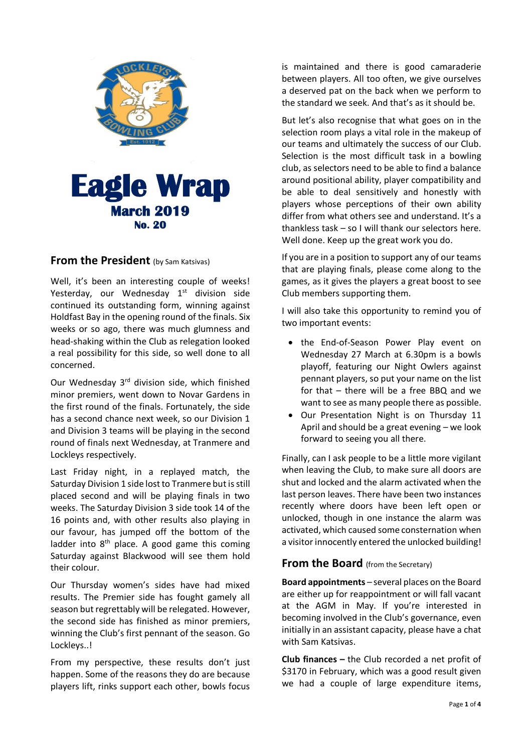

### **From the President** (by Sam Katsivas)

Well, it's been an interesting couple of weeks! Yesterday, our Wednesday  $1<sup>st</sup>$  division side continued its outstanding form, winning against Holdfast Bay in the opening round of the finals. Six weeks or so ago, there was much glumness and head-shaking within the Club as relegation looked a real possibility for this side, so well done to all concerned.

Our Wednesday 3<sup>rd</sup> division side, which finished minor premiers, went down to Novar Gardens in the first round of the finals. Fortunately, the side has a second chance next week, so our Division 1 and Division 3 teams will be playing in the second round of finals next Wednesday, at Tranmere and Lockleys respectively.

Last Friday night, in a replayed match, the Saturday Division 1 side lost to Tranmere but is still placed second and will be playing finals in two weeks. The Saturday Division 3 side took 14 of the 16 points and, with other results also playing in our favour, has jumped off the bottom of the ladder into  $8<sup>th</sup>$  place. A good game this coming Saturday against Blackwood will see them hold their colour.

Our Thursday women's sides have had mixed results. The Premier side has fought gamely all season but regrettably will be relegated. However, the second side has finished as minor premiers, winning the Club's first pennant of the season. Go Lockleys..!

From my perspective, these results don't just happen. Some of the reasons they do are because players lift, rinks support each other, bowls focus

is maintained and there is good camaraderie between players. All too often, we give ourselves a deserved pat on the back when we perform to the standard we seek. And that's as it should be.

But let's also recognise that what goes on in the selection room plays a vital role in the makeup of our teams and ultimately the success of our Club. Selection is the most difficult task in a bowling club, as selectors need to be able to find a balance around positional ability, player compatibility and be able to deal sensitively and honestly with players whose perceptions of their own ability differ from what others see and understand. It's a thankless task – so I will thank our selectors here. Well done. Keep up the great work you do.

If you are in a position to support any of our teams that are playing finals, please come along to the games, as it gives the players a great boost to see Club members supporting them.

I will also take this opportunity to remind you of two important events:

- the End-of-Season Power Play event on Wednesday 27 March at 6.30pm is a bowls playoff, featuring our Night Owlers against pennant players, so put your name on the list for that – there will be a free BBQ and we want to see as many people there as possible.
- Our Presentation Night is on Thursday 11 April and should be a great evening – we look forward to seeing you all there.

Finally, can I ask people to be a little more vigilant when leaving the Club, to make sure all doors are shut and locked and the alarm activated when the last person leaves. There have been two instances recently where doors have been left open or unlocked, though in one instance the alarm was activated, which caused some consternation when a visitor innocently entered the unlocked building!

#### **From the Board** (from the Secretary)

**Board appointments** – several places on the Board are either up for reappointment or will fall vacant at the AGM in May. If you're interested in becoming involved in the Club's governance, even initially in an assistant capacity, please have a chat with Sam Katsivas.

**Club finances –** the Club recorded a net profit of \$3170 in February, which was a good result given we had a couple of large expenditure items,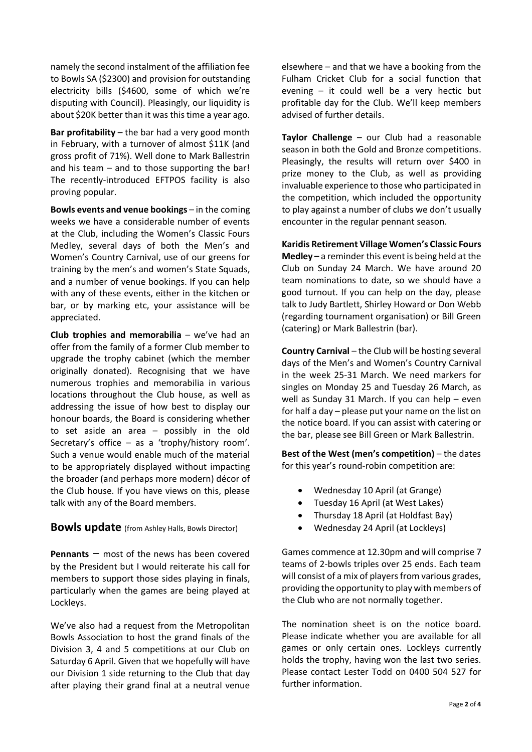namely the second instalment of the affiliation fee to Bowls SA (\$2300) and provision for outstanding electricity bills (\$4600, some of which we're disputing with Council). Pleasingly, our liquidity is about \$20K better than it was this time a year ago.

**Bar profitability** – the bar had a very good month in February, with a turnover of almost \$11K (and gross profit of 71%). Well done to Mark Ballestrin and his team – and to those supporting the bar! The recently-introduced EFTPOS facility is also proving popular.

**Bowls events and venue bookings** – in the coming weeks we have a considerable number of events at the Club, including the Women's Classic Fours Medley, several days of both the Men's and Women's Country Carnival, use of our greens for training by the men's and women's State Squads, and a number of venue bookings. If you can help with any of these events, either in the kitchen or bar, or by marking etc, your assistance will be appreciated.

**Club trophies and memorabilia** – we've had an offer from the family of a former Club member to upgrade the trophy cabinet (which the member originally donated). Recognising that we have numerous trophies and memorabilia in various locations throughout the Club house, as well as addressing the issue of how best to display our honour boards, the Board is considering whether to set aside an area – possibly in the old Secretary's office – as a 'trophy/history room'. Such a venue would enable much of the material to be appropriately displayed without impacting the broader (and perhaps more modern) décor of the Club house. If you have views on this, please talk with any of the Board members.

**Bowls update** (from Ashley Halls, Bowls Director)

**Pennants** – most of the news has been covered by the President but I would reiterate his call for members to support those sides playing in finals, particularly when the games are being played at Lockleys.

We've also had a request from the Metropolitan Bowls Association to host the grand finals of the Division 3, 4 and 5 competitions at our Club on Saturday 6 April. Given that we hopefully will have our Division 1 side returning to the Club that day after playing their grand final at a neutral venue

elsewhere – and that we have a booking from the Fulham Cricket Club for a social function that evening – it could well be a very hectic but profitable day for the Club. We'll keep members advised of further details.

**Taylor Challenge** – our Club had a reasonable season in both the Gold and Bronze competitions. Pleasingly, the results will return over \$400 in prize money to the Club, as well as providing invaluable experience to those who participated in the competition, which included the opportunity to play against a number of clubs we don't usually encounter in the regular pennant season.

**Karidis Retirement Village Women's Classic Fours Medley –** a reminder this event is being held at the Club on Sunday 24 March. We have around 20 team nominations to date, so we should have a good turnout. If you can help on the day, please talk to Judy Bartlett, Shirley Howard or Don Webb (regarding tournament organisation) or Bill Green (catering) or Mark Ballestrin (bar).

**Country Carnival** – the Club will be hosting several days of the Men's and Women's Country Carnival in the week 25-31 March. We need markers for singles on Monday 25 and Tuesday 26 March, as well as Sunday 31 March. If you can help – even for half a day – please put your name on the list on the notice board. If you can assist with catering or the bar, please see Bill Green or Mark Ballestrin.

**Best of the West (men's competition)** – the dates for this year's round-robin competition are:

- Wednesday 10 April (at Grange)
- Tuesday 16 April (at West Lakes)
- Thursday 18 April (at Holdfast Bay)
- Wednesday 24 April (at Lockleys)

Games commence at 12.30pm and will comprise 7 teams of 2-bowls triples over 25 ends. Each team will consist of a mix of players from various grades, providing the opportunity to play with members of the Club who are not normally together.

The nomination sheet is on the notice board. Please indicate whether you are available for all games or only certain ones. Lockleys currently holds the trophy, having won the last two series. Please contact Lester Todd on 0400 504 527 for further information.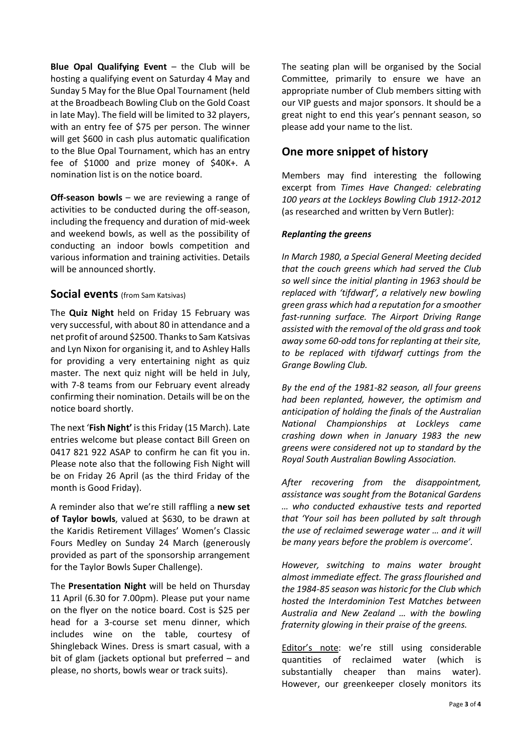**Blue Opal Qualifying Event – the Club will be** hosting a qualifying event on Saturday 4 May and Sunday 5 May for the Blue Opal Tournament (held at the Broadbeach Bowling Club on the Gold Coast in late May). The field will be limited to 32 players, with an entry fee of \$75 per person. The winner will get \$600 in cash plus automatic qualification to the Blue Opal Tournament, which has an entry fee of \$1000 and prize money of \$40K+. A nomination list is on the notice board.

**Off-season bowls** – we are reviewing a range of activities to be conducted during the off-season, including the frequency and duration of mid-week and weekend bowls, as well as the possibility of conducting an indoor bowls competition and various information and training activities. Details will be announced shortly.

#### **Social events** (from Sam Katsivas)

The **Quiz Night** held on Friday 15 February was very successful, with about 80 in attendance and a net profit of around \$2500. Thanks to Sam Katsivas and Lyn Nixon for organising it, and to Ashley Halls for providing a very entertaining night as quiz master. The next quiz night will be held in July, with 7-8 teams from our February event already confirming their nomination. Details will be on the notice board shortly.

The next '**Fish Night'** is this Friday (15 March). Late entries welcome but please contact Bill Green on 0417 821 922 ASAP to confirm he can fit you in. Please note also that the following Fish Night will be on Friday 26 April (as the third Friday of the month is Good Friday).

A reminder also that we're still raffling a **new set of Taylor bowls**, valued at \$630, to be drawn at the Karidis Retirement Villages' Women's Classic Fours Medley on Sunday 24 March (generously provided as part of the sponsorship arrangement for the Taylor Bowls Super Challenge).

The **Presentation Night** will be held on Thursday 11 April (6.30 for 7.00pm). Please put your name on the flyer on the notice board. Cost is \$25 per head for a 3-course set menu dinner, which includes wine on the table, courtesy of Shingleback Wines. Dress is smart casual, with a bit of glam (jackets optional but preferred – and please, no shorts, bowls wear or track suits).

The seating plan will be organised by the Social Committee, primarily to ensure we have an appropriate number of Club members sitting with our VIP guests and major sponsors. It should be a great night to end this year's pennant season, so please add your name to the list.

## **One more snippet of history**

Members may find interesting the following excerpt from *Times Have Changed: celebrating 100 years at the Lockleys Bowling Club 1912-2012* (as researched and written by Vern Butler):

#### *Replanting the greens*

*In March 1980, a Special General Meeting decided that the couch greens which had served the Club so well since the initial planting in 1963 should be replaced with 'tifdwarf', a relatively new bowling green grass which had a reputation for a smoother fast-running surface. The Airport Driving Range assisted with the removal of the old grass and took away some 60-odd tons for replanting at their site, to be replaced with tifdwarf cuttings from the Grange Bowling Club.*

*By the end of the 1981-82 season, all four greens had been replanted, however, the optimism and anticipation of holding the finals of the Australian National Championships at Lockleys came crashing down when in January 1983 the new greens were considered not up to standard by the Royal South Australian Bowling Association.* 

*After recovering from the disappointment, assistance was sought from the Botanical Gardens … who conducted exhaustive tests and reported that 'Your soil has been polluted by salt through the use of reclaimed sewerage water … and it will be many years before the problem is overcome'.* 

*However, switching to mains water brought almost immediate effect. The grass flourished and the 1984-85 season was historic for the Club which hosted the Interdominion Test Matches between Australia and New Zealand … with the bowling fraternity glowing in their praise of the greens.*

Editor's note: we're still using considerable quantities of reclaimed water (which is substantially cheaper than mains water). However, our greenkeeper closely monitors its